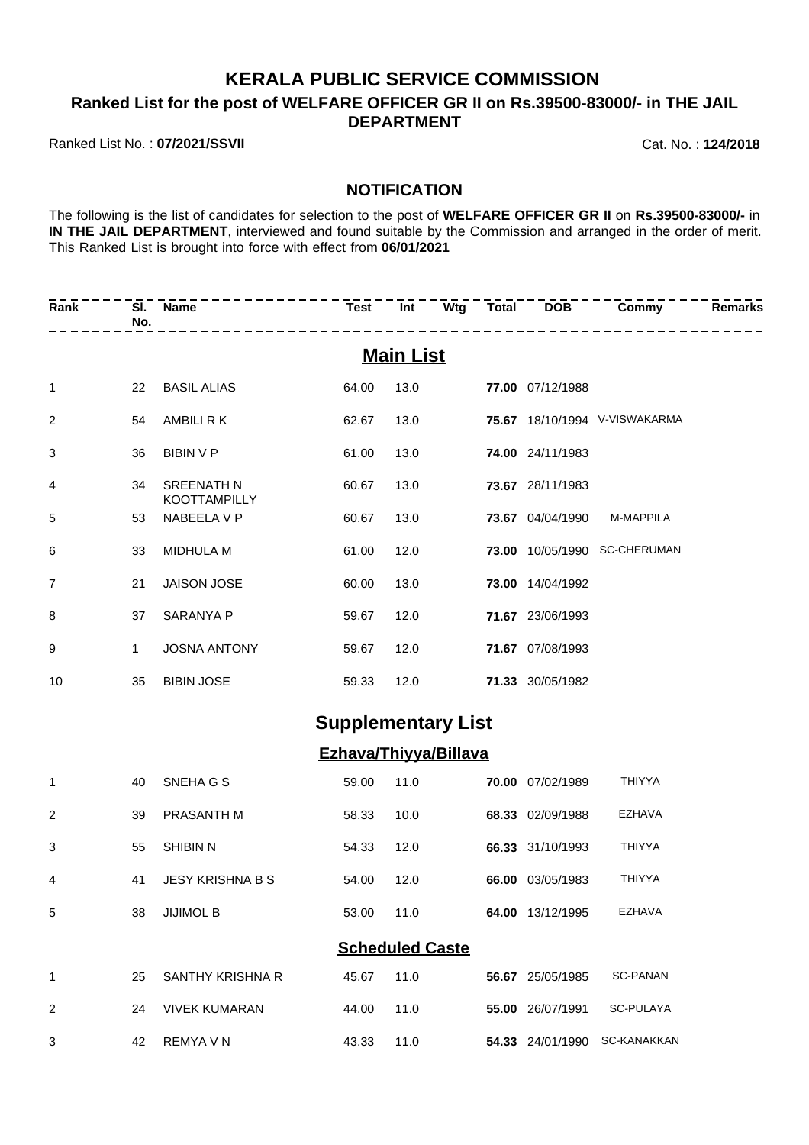## **KERALA PUBLIC SERVICE COMMISSION**

**Ranked List for the post of WELFARE OFFICER GR II on Rs.39500-83000/- in THE JAIL DEPARTMENT**

Ranked List No. : **07/2021/SSVII** Cat. No. : **124/2018**

## **NOTIFICATION**

The following is the list of candidates for selection to the post of **WELFARE OFFICER GR II** on **Rs.39500-83000/-** in **IN THE JAIL DEPARTMENT**, interviewed and found suitable by the Commission and arranged in the order of merit. This Ranked List is brought into force with effect from **06/01/2021**

| Rank           | No.          | SI. Name<br>---------             | <b>Test</b>                  | Int                    | .                | Wtg Total DOB Commy           | Remarks |
|----------------|--------------|-----------------------------------|------------------------------|------------------------|------------------|-------------------------------|---------|
|                |              |                                   |                              | <b>Main List</b>       |                  |                               |         |
| $\mathbf 1$    | 22           | <b>BASIL ALIAS</b>                | 64.00                        | 13.0                   | 77.00 07/12/1988 |                               |         |
| $\overline{c}$ | 54           | AMBILI R K                        | 62.67                        | 13.0                   |                  | 75.67 18/10/1994 V-VISWAKARMA |         |
| 3              | 36           | <b>BIBIN V P</b>                  | 61.00                        | 13.0                   | 74.00 24/11/1983 |                               |         |
| 4              | 34           | <b>SREENATH N</b><br>KOOTTAMPILLY | 60.67                        | 13.0                   | 73.67 28/11/1983 |                               |         |
| 5              | 53           | NABEELA V P                       | 60.67                        | 13.0                   | 73.67 04/04/1990 | M-MAPPILA                     |         |
| 6              | 33           | MIDHULA M                         | 61.00                        | 12.0                   |                  | 73.00 10/05/1990 SC-CHERUMAN  |         |
| 7              | 21           | JAISON JOSE                       | 60.00                        | 13.0                   | 73.00 14/04/1992 |                               |         |
| 8              | 37           | SARANYA P                         | 59.67                        | 12.0                   | 71.67 23/06/1993 |                               |         |
| 9              | $\mathbf{1}$ | <b>JOSNA ANTONY</b>               | 59.67                        | 12.0                   | 71.67 07/08/1993 |                               |         |
| 10             | 35           | <b>BIBIN JOSE</b>                 | 59.33                        | 12.0                   | 71.33 30/05/1982 |                               |         |
|                |              |                                   | <b>Supplementary List</b>    |                        |                  |                               |         |
|                |              |                                   | <b>Ezhava/Thiyya/Billava</b> |                        |                  |                               |         |
| $\mathbf{1}$   | 40           | SNEHA G S                         | 59.00                        | 11.0                   | 70.00 07/02/1989 | <b>THIYYA</b>                 |         |
| $\overline{c}$ | 39           | PRASANTH M                        | 58.33                        | 10.0                   | 68.33 02/09/1988 | <b>EZHAVA</b>                 |         |
| 3              | 55           | <b>SHIBIN N</b>                   | 54.33                        | 12.0                   | 66.33 31/10/1993 | <b>THIYYA</b>                 |         |
| 4              | 41           | JESY KRISHNA B S                  | 54.00                        | 12.0                   | 66.00 03/05/1983 | <b>THIYYA</b>                 |         |
| 5              | 38           | <b>JIJIMOL B</b>                  | 53.00 11.0                   |                        | 64.00 13/12/1995 | <b>EZHAVA</b>                 |         |
|                |              |                                   |                              | <b>Scheduled Caste</b> |                  |                               |         |
| 1              | 25           | SANTHY KRISHNA R                  | 45.67                        | 11.0                   | 56.67 25/05/1985 | <b>SC-PANAN</b>               |         |
| 2              | 24           | <b>VIVEK KUMARAN</b>              | 44.00                        | 11.0                   | 55.00 26/07/1991 | SC-PULAYA                     |         |
| 3              | 42           | REMYA V N                         | 43.33                        | 11.0                   |                  | 54.33 24/01/1990 SC-KANAKKAN  |         |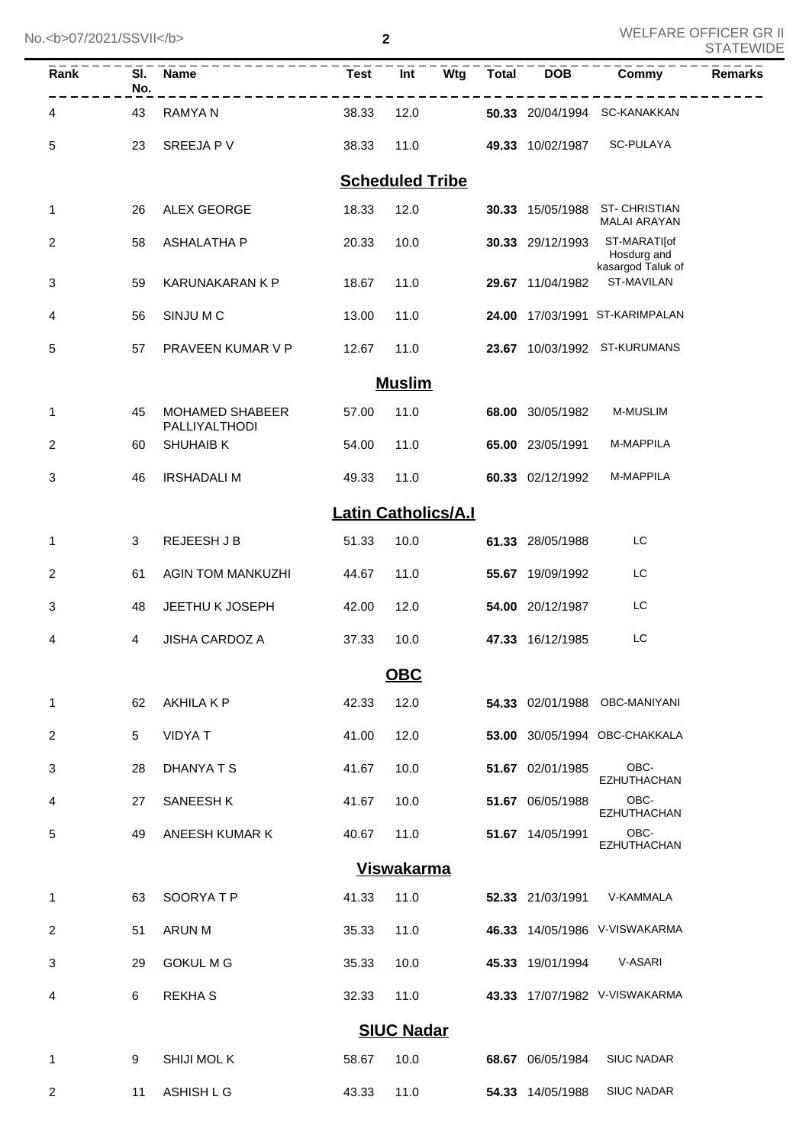No.<b>07/2021/SSVII</b>

WELFARE OFFICER GR II

| Rank                   | SI.<br>No. | <b>Name</b>                             | <b>Test</b>                | Int           | $\overline{\mathsf{W}}$ tg | <b>Total</b> | <b>DOB</b>       | Commy                                            | <b>Remarks</b> |
|------------------------|------------|-----------------------------------------|----------------------------|---------------|----------------------------|--------------|------------------|--------------------------------------------------|----------------|
| 4                      | 43         | <b>RAMYAN</b>                           | 38.33                      | 12.0          |                            |              | 50.33 20/04/1994 | SC-KANAKKAN                                      |                |
| 5                      | 23         | SREEJA P V                              | 38.33                      | 11.0          |                            |              | 49.33 10/02/1987 | SC-PULAYA                                        |                |
| <b>Scheduled Tribe</b> |            |                                         |                            |               |                            |              |                  |                                                  |                |
| 1                      | 26         | <b>ALEX GEORGE</b>                      | 18.33                      | 12.0          |                            |              | 30.33 15/05/1988 | <b>ST-CHRISTIAN</b><br><b>MALAI ARAYAN</b>       |                |
| 2                      | 58         | <b>ASHALATHA P</b>                      | 20.33                      | 10.0          |                            |              | 30.33 29/12/1993 | ST-MARATIJof<br>Hosdurg and<br>kasargod Taluk of |                |
| 3                      | 59         | <b>KARUNAKARAN K P</b>                  | 18.67                      | 11.0          |                            |              | 29.67 11/04/1982 | ST-MAVILAN                                       |                |
| 4                      | 56         | SINJU M C                               | 13.00                      | 11.0          |                            |              |                  | 24.00 17/03/1991 ST-KARIMPALAN                   |                |
| 5                      | 57         | PRAVEEN KUMAR V P                       | 12.67                      | 11.0          |                            |              |                  | 23.67 10/03/1992 ST-KURUMANS                     |                |
|                        |            |                                         |                            | <b>Muslim</b> |                            |              |                  |                                                  |                |
| 1                      | 45         | <b>MOHAMED SHABEER</b><br>PALLIYALTHODI | 57.00                      | 11.0          |                            |              | 68.00 30/05/1982 | <b>M-MUSLIM</b>                                  |                |
| 2                      | 60         | <b>SHUHAIB K</b>                        | 54.00                      | 11.0          |                            |              | 65.00 23/05/1991 | M-MAPPILA                                        |                |
| 3                      | 46         | <b>IRSHADALI M</b>                      | 49.33                      | 11.0          |                            |              | 60.33 02/12/1992 | M-MAPPILA                                        |                |
|                        |            |                                         | <b>Latin Catholics/A.I</b> |               |                            |              |                  |                                                  |                |
| 1                      | 3          | <b>REJEESH J B</b>                      | 51.33                      | 10.0          |                            |              | 61.33 28/05/1988 | LC                                               |                |
| 2                      | 61         | <b>AGIN TOM MANKUZHI</b>                | 44.67                      | 11.0          |                            |              | 55.67 19/09/1992 | LC                                               |                |
| 3                      | 48         | JEETHU K JOSEPH                         | 42.00                      | 12.0          |                            |              | 54.00 20/12/1987 | LC                                               |                |
| 4                      | 4          | <b>JISHA CARDOZ A</b>                   | 37.33                      | 10.0          |                            |              | 47.33 16/12/1985 | LC                                               |                |
|                        |            |                                         |                            | <b>OBC</b>    |                            |              |                  |                                                  |                |
| 1                      | 62         | AKHILA K P                              | 42.33                      | 12.0          |                            |              |                  | 54.33 02/01/1988 OBC-MANIYANI                    |                |
| 2                      | 5          | <b>VIDYAT</b>                           | 41.00                      | 12.0          |                            |              |                  | 53.00 30/05/1994 OBC-CHAKKALA                    |                |
| 3                      | 28         | DHANYA T S                              | 41.67                      | 10.0          |                            |              | 51.67 02/01/1985 | OBC-<br><b>EZHUTHACHAN</b>                       |                |
| 4                      | 27         | SANEESH K                               | 41.67                      | 10.0          |                            |              | 51.67 06/05/1988 | OBC-<br><b>EZHUTHACHAN</b>                       |                |
| 5                      | 49         | ANEESH KUMAR K                          | 40.67                      | 11.0          |                            |              | 51.67 14/05/1991 | OBC-<br><b>EZHUTHACHAN</b>                       |                |
| <b>Viswakarma</b>      |            |                                         |                            |               |                            |              |                  |                                                  |                |
| 1                      | 63         | SOORYATP                                | 41.33                      | 11.0          |                            |              | 52.33 21/03/1991 | V-KAMMALA                                        |                |
| 2                      | 51         | ARUN M                                  | 35.33                      | 11.0          |                            |              |                  | 46.33 14/05/1986 V-VISWAKARMA                    |                |
| 3                      | 29         | <b>GOKUL M G</b>                        | 35.33                      | 10.0          |                            |              | 45.33 19/01/1994 | V-ASARI                                          |                |
| 4                      | 6          | <b>REKHAS</b>                           | 32.33                      | 11.0          |                            |              |                  | 43.33 17/07/1982 V-VISWAKARMA                    |                |
| <b>SIUC Nadar</b>      |            |                                         |                            |               |                            |              |                  |                                                  |                |
| 1                      | 9          | <b>SHIJI MOL K</b>                      | 58.67                      | 10.0          |                            |              | 68.67 06/05/1984 | SIUC NADAR                                       |                |
| 2                      | 11         | ASHISH L G                              | 43.33                      | 11.0          |                            |              | 54.33 14/05/1988 | <b>SIUC NADAR</b>                                |                |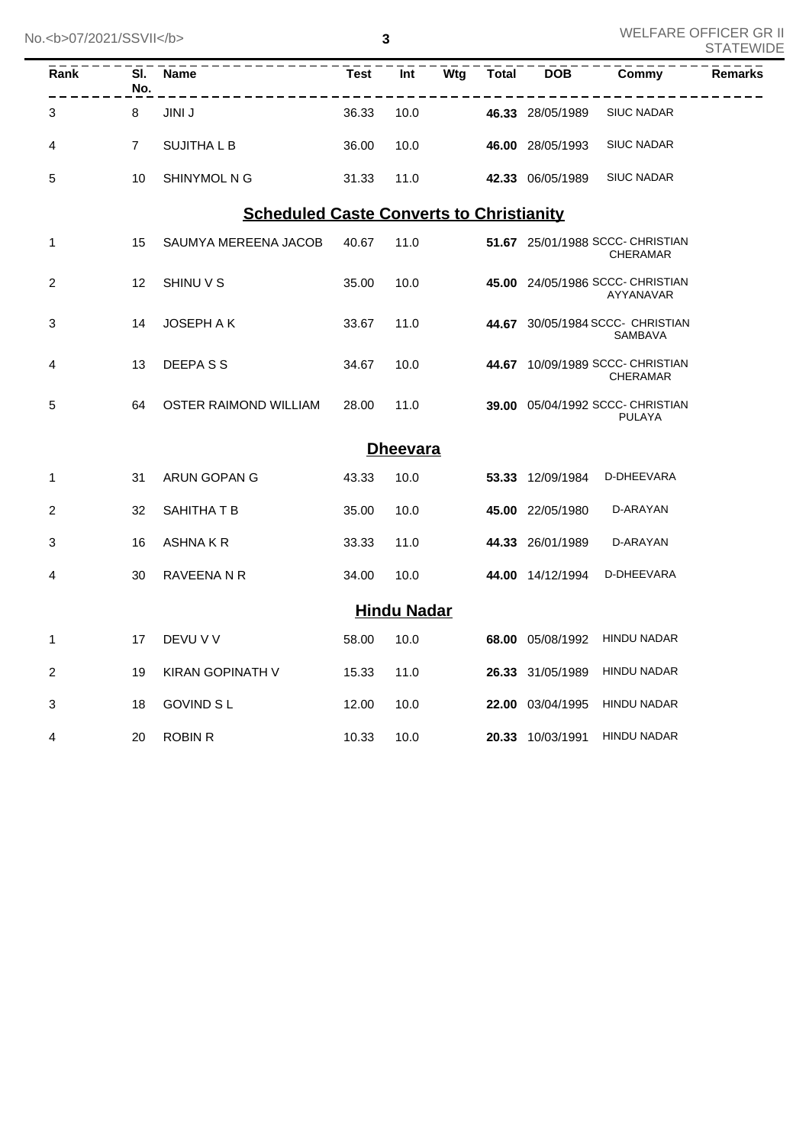| Rank | No.            | SI. Name                                        | Test  | Int                |  |                  |                                                     | <b>Remarks</b> |
|------|----------------|-------------------------------------------------|-------|--------------------|--|------------------|-----------------------------------------------------|----------------|
| 3    | 8              | JINI J                                          | 36.33 | 10.0               |  | 46.33 28/05/1989 | <b>SIUC NADAR</b>                                   |                |
| 4    | $\overline{7}$ | <b>SUJITHALB</b>                                | 36.00 | 10.0               |  | 46.00 28/05/1993 | <b>SIUC NADAR</b>                                   |                |
| 5    | 10             | SHINYMOL N G                                    | 31.33 | 11.0               |  | 42.33 06/05/1989 | <b>SIUC NADAR</b>                                   |                |
|      |                | <b>Scheduled Caste Converts to Christianity</b> |       |                    |  |                  |                                                     |                |
| 1    | 15             | SAUMYA MEREENA JACOB                            | 40.67 | 11.0               |  |                  | 51.67 25/01/1988 SCCC- CHRISTIAN<br><b>CHERAMAR</b> |                |
| 2    | 12             | SHINU V S                                       | 35.00 | 10.0               |  |                  | 45.00 24/05/1986 SCCC- CHRISTIAN<br>AYYANAVAR       |                |
| 3    | 14             | <b>JOSEPH A K</b>                               | 33.67 | 11.0               |  |                  | 44.67 30/05/1984 SCCC- CHRISTIAN<br>SAMBAVA         |                |
| 4    | 13             | DEEPASS                                         | 34.67 | 10.0               |  |                  | 44.67 10/09/1989 SCCC- CHRISTIAN<br><b>CHERAMAR</b> |                |
| 5    | 64             | OSTER RAIMOND WILLIAM                           | 28.00 | 11.0               |  |                  | 39.00 05/04/1992 SCCC- CHRISTIAN<br><b>PULAYA</b>   |                |
|      |                |                                                 |       | <b>Dheevara</b>    |  |                  |                                                     |                |
| 1    | 31             | ARUN GOPAN G                                    | 43.33 | 10.0               |  |                  | 53.33 12/09/1984 D-DHEEVARA                         |                |
| 2    | 32             | SAHITHA T B                                     | 35.00 | 10.0               |  | 45.00 22/05/1980 | D-ARAYAN                                            |                |
| 3    | 16             | ASHNAKR                                         | 33.33 | 11.0               |  | 44.33 26/01/1989 | D-ARAYAN                                            |                |
| 4    | 30             | RAVEENA N R                                     | 34.00 | 10.0               |  | 44.00 14/12/1994 | D-DHEEVARA                                          |                |
|      |                |                                                 |       | <b>Hindu Nadar</b> |  |                  |                                                     |                |
| 1    | 17             | DEVU V V                                        | 58.00 | 10.0               |  | 68.00 05/08/1992 | HINDU NADAR                                         |                |
| 2    | 19             | KIRAN GOPINATH V                                | 15.33 | 11.0               |  | 26.33 31/05/1989 | <b>HINDU NADAR</b>                                  |                |
| 3    | 18             | <b>GOVIND SL</b>                                | 12.00 | 10.0               |  | 22.00 03/04/1995 | <b>HINDU NADAR</b>                                  |                |
| 4    | 20             | <b>ROBIN R</b>                                  | 10.33 | 10.0               |  | 20.33 10/03/1991 | <b>HINDU NADAR</b>                                  |                |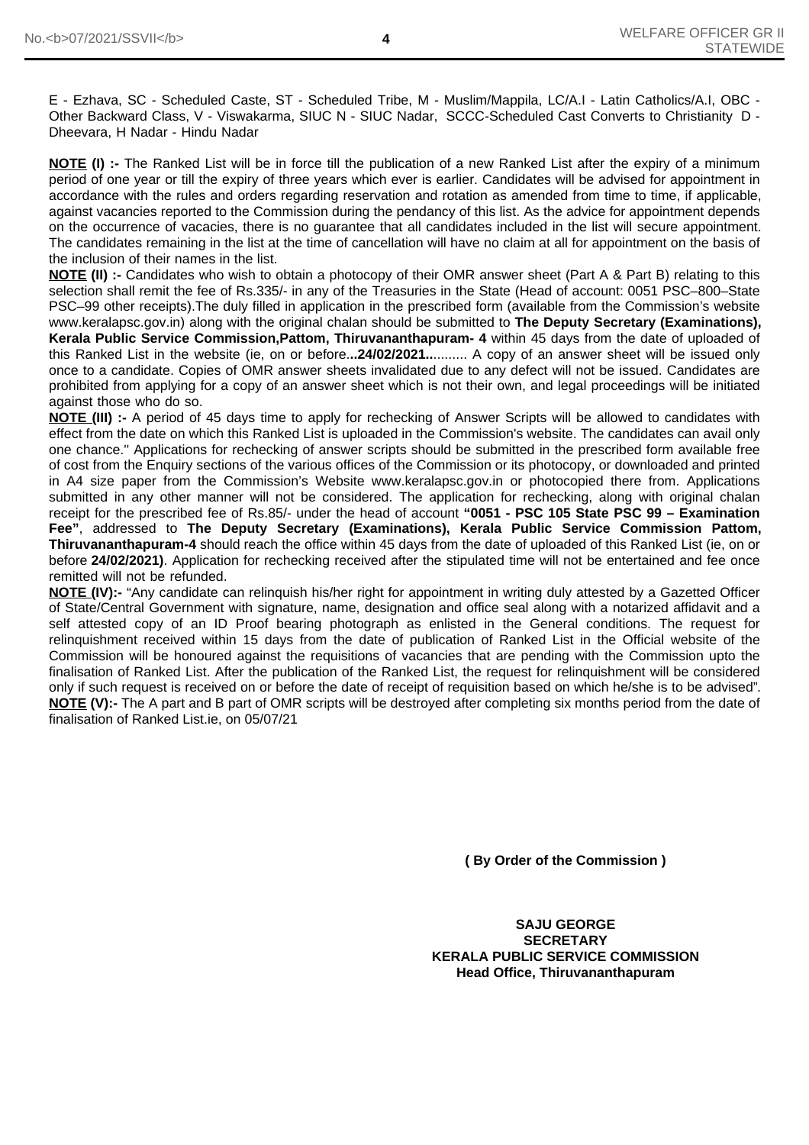E - Ezhava, SC - Scheduled Caste, ST - Scheduled Tribe, M - Muslim/Mappila, LC/A.I - Latin Catholics/A.I, OBC - Other Backward Class, V - Viswakarma, SIUC N - SIUC Nadar, SCCC-Scheduled Cast Converts to Christianity D - Dheevara, H Nadar - Hindu Nadar

**NOTE (I)** :- The Ranked List will be in force till the publication of a new Ranked List after the expiry of a minimum period of one year or till the expiry of three years which ever is earlier. Candidates will be advised for appointment in accordance with the rules and orders regarding reservation and rotation as amended from time to time, if applicable, against vacancies reported to the Commission during the pendancy of this list. As the advice for appointment depends on the occurrence of vacacies, there is no guarantee that all candidates included in the list will secure appointment. The candidates remaining in the list at the time of cancellation will have no claim at all for appointment on the basis of the inclusion of their names in the list.

**NOTE (II) :-** Candidates who wish to obtain a photocopy of their OMR answer sheet (Part A & Part B) relating to this selection shall remit the fee of Rs.335/- in any of the Treasuries in the State (Head of account: 0051 PSC–800–State PSC–99 other receipts).The duly filled in application in the prescribed form (available from the Commission's website www.keralapsc.gov.in) along with the original chalan should be submitted to **The Deputy Secretary (Examinations), Kerala Public Service Commission,Pattom, Thiruvananthapuram- 4** within 45 days from the date of uploaded of this Ranked List in the website (ie, on or before.**..24/02/2021..**......... A copy of an answer sheet will be issued only once to a candidate. Copies of OMR answer sheets invalidated due to any defect will not be issued. Candidates are prohibited from applying for a copy of an answer sheet which is not their own, and legal proceedings will be initiated against those who do so.

**NOTE (III) :-** A period of 45 days time to apply for rechecking of Answer Scripts will be allowed to candidates with effect from the date on which this Ranked List is uploaded in the Commission's website. The candidates can avail only one chance.'' Applications for rechecking of answer scripts should be submitted in the prescribed form available free of cost from the Enquiry sections of the various offices of the Commission or its photocopy, or downloaded and printed in A4 size paper from the Commission's Website www.keralapsc.gov.in or photocopied there from. Applications submitted in any other manner will not be considered. The application for rechecking, along with original chalan receipt for the prescribed fee of Rs.85/- under the head of account **"0051 - PSC 105 State PSC 99 – Examination Fee"**, addressed to **The Deputy Secretary (Examinations), Kerala Public Service Commission Pattom, Thiruvananthapuram-4** should reach the office within 45 days from the date of uploaded of this Ranked List (ie, on or before **24/02/2021)**. Application for rechecking received after the stipulated time will not be entertained and fee once remitted will not be refunded.

**NOTE (IV):-** "Any candidate can relinquish his/her right for appointment in writing duly attested by a Gazetted Officer of State/Central Government with signature, name, designation and office seal along with a notarized affidavit and a self attested copy of an ID Proof bearing photograph as enlisted in the General conditions. The request for relinquishment received within 15 days from the date of publication of Ranked List in the Official website of the Commission will be honoured against the requisitions of vacancies that are pending with the Commission upto the finalisation of Ranked List. After the publication of the Ranked List, the request for relinquishment will be considered only if such request is received on or before the date of receipt of requisition based on which he/she is to be advised". **NOTE (V):-** The A part and B part of OMR scripts will be destroyed after completing six months period from the date of finalisation of Ranked List.ie, on 05/07/21

**( By Order of the Commission )**

**SAJU GEORGE SECRETARY KERALA PUBLIC SERVICE COMMISSION Head Office, Thiruvananthapuram**